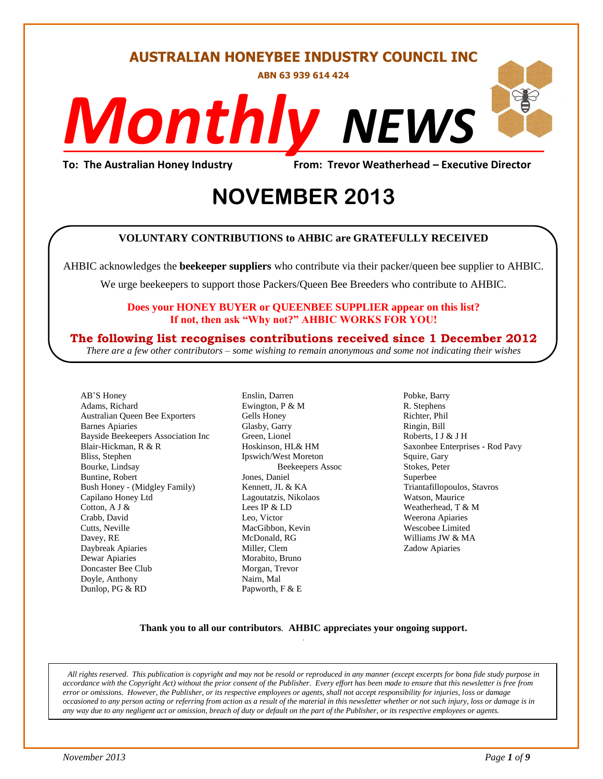#### **AUSTRALIAN HONEYBEE INDUSTRY COUNCIL INC**

**ABN 63 939 614 424**

# *NEWS Monthly*

**To: The Australian Honey Industry From: Trevor Weatherhead – Executive Director**

## **2013 NOVEMBER 2013**

#### **VOLUNTARY CONTRIBUTIONS to AHBIC are GRATEFULLY RECEIVED**

AHBIC acknowledges the **beekeeper suppliers** who contribute via their packer/queen bee supplier to AHBIC.

We urge beekeepers to support those Packers/Queen Bee Breeders who contribute to AHBIC.

#### **Does your HONEY BUYER or QUEENBEE SUPPLIER appear on this list? If not, then ask "Why not?" AHBIC WORKS FOR YOU!**

#### **The following list recognises contributions received since 1 December 2012**

*There are a few other contributors – some wishing to remain anonymous and some not indicating their wishes*

AB'S Honey Adams, Richard Australian Queen Bee Exporters Barnes Apiaries Bayside Beekeepers Association Inc Blair-Hickman, R & R Bliss, Stephen Bourke, Lindsay Buntine, Robert Bush Honey - (Midgley Family) Capilano Honey Ltd Cotton, A J & Crabb, David Cutts, Neville Davey, RE Daybreak Apiaries Dewar Apiaries Doncaster Bee Club Doyle, Anthony Dunlop, PG & RD

Enslin, Darren Ewington, P & M Gells Honey Glasby, Garry Green, Lionel Hoskinson, HL& HM Ipswich/West Moreton Beekeepers Assoc Jones, Daniel Kennett, JL & KA Lagoutatzis, Nikolaos Lees IP & LD Leo, Victor MacGibbon, Kevin McDonald, RG Miller, Clem Morabito, Bruno Morgan, Trevor Nairn, Mal Papworth, F & E

Pobke, Barry R. Stephens Richter, Phil Ringin, Bill Roberts, I J & J H Saxonbee Enterprises - Rod Pavy Squire, Gary Stokes, Peter Superbee Triantafillopoulos, Stavros Watson, Maurice Weatherhead, T & M Weerona Apiaries Wescobee Limited Williams JW & MA Zadow Apiaries

#### **Thank you to all our contributors***.* **AHBIC appreciates your ongoing support.** .

*All rights reserved. This publication is copyright and may not be resold or reproduced in any manner (except excerpts for bona fide study purpose in accordance with the Copyright Act) without the prior consent of the Publisher. Every effort has been made to ensure that this newsletter is free from error or omissions. However, the Publisher, or its respective employees or agents, shall not accept responsibility for injuries, loss or damage occasioned to any person acting or referring from action as a result of the material in this newsletter whether or not such injury, loss or damage is in any way due to any negligent act or omission, breach of duty or default on the part of the Publisher, or its respective employees or agents.*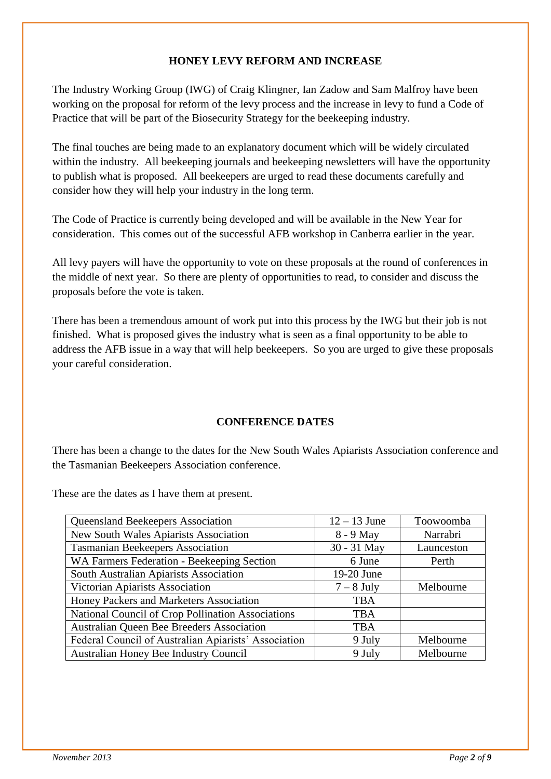#### **HONEY LEVY REFORM AND INCREASE**

The Industry Working Group (IWG) of Craig Klingner, Ian Zadow and Sam Malfroy have been working on the proposal for reform of the levy process and the increase in levy to fund a Code of Practice that will be part of the Biosecurity Strategy for the beekeeping industry.

The final touches are being made to an explanatory document which will be widely circulated within the industry. All beekeeping journals and beekeeping newsletters will have the opportunity to publish what is proposed. All beekeepers are urged to read these documents carefully and consider how they will help your industry in the long term.

The Code of Practice is currently being developed and will be available in the New Year for consideration. This comes out of the successful AFB workshop in Canberra earlier in the year.

All levy payers will have the opportunity to vote on these proposals at the round of conferences in the middle of next year. So there are plenty of opportunities to read, to consider and discuss the proposals before the vote is taken.

There has been a tremendous amount of work put into this process by the IWG but their job is not finished. What is proposed gives the industry what is seen as a final opportunity to be able to address the AFB issue in a way that will help beekeepers. So you are urged to give these proposals your careful consideration.

#### **CONFERENCE DATES**

There has been a change to the dates for the New South Wales Apiarists Association conference and the Tasmanian Beekeepers Association conference.

These are the dates as I have them at present.

| <b>Queensland Beekeepers Association</b>             | $12 - 13$ June | Toowoomba  |
|------------------------------------------------------|----------------|------------|
| New South Wales Apiarists Association                | 8 - 9 May      | Narrabri   |
| <b>Tasmanian Beekeepers Association</b>              | 30 - 31 May    | Launceston |
| WA Farmers Federation - Beekeeping Section           | 6 June         | Perth      |
| South Australian Apiarists Association               | 19-20 June     |            |
| Victorian Apiarists Association                      | $7 - 8$ July   | Melbourne  |
| Honey Packers and Marketers Association              | <b>TBA</b>     |            |
| National Council of Crop Pollination Associations    | <b>TBA</b>     |            |
| Australian Queen Bee Breeders Association            | <b>TBA</b>     |            |
| Federal Council of Australian Apiarists' Association | 9 July         | Melbourne  |
| Australian Honey Bee Industry Council                | 9 July         | Melbourne  |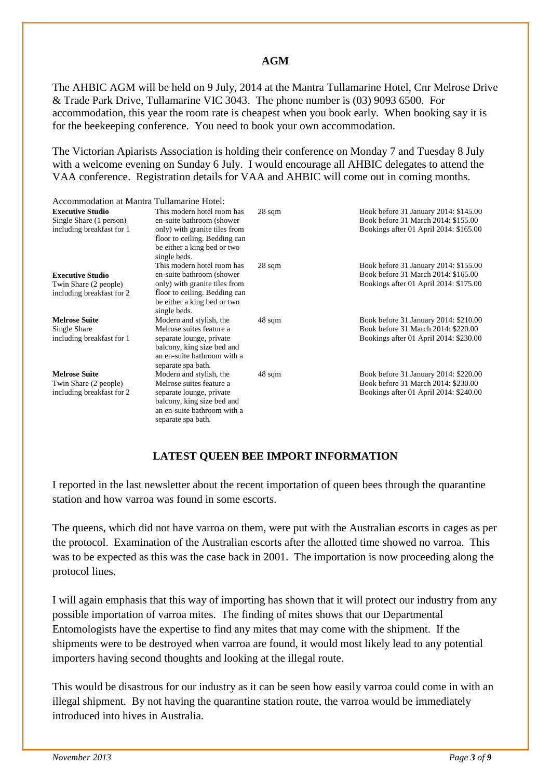#### **AGM**

The AHBIC AGM will be held on 9 July, 2014 at the Mantra Tullamarine Hotel, Cnr Melrose Drive & Trade Park Drive, Tullamarine VIC 3043. The phone number is (03) 9093 6500. For accommodation, this year the room rate is cheapest when you book early. When booking say it is for the beekeeping conference. You need to book your own accommodation.

The Victorian Apiarists Association is holding their conference on Monday 7 and Tuesday 8 July with a welcome evening on Sunday 6 July. I would encourage all AHBIC delegates to attend the VAA conference. Registration details for VAA and AHBIC will come out in coming months.

| Accommodation at Mantra Tullamarine Hotel:                                      |                                                                                                             |                  |                                                                                                                        |
|---------------------------------------------------------------------------------|-------------------------------------------------------------------------------------------------------------|------------------|------------------------------------------------------------------------------------------------------------------------|
| <b>Executive Studio</b><br>Single Share (1 person)<br>including breakfast for 1 | This modern hotel room has<br>en-suite bathroom (shower<br>only) with granite tiles from                    | $28 \text{ sqm}$ | Book before 31 January 2014: \$145.00<br>Book before 31 March 2014: \$155.00<br>Bookings after 01 April 2014: \$165.00 |
|                                                                                 | floor to ceiling. Bedding can<br>be either a king bed or two<br>single beds.                                |                  |                                                                                                                        |
|                                                                                 | This modern hotel room has                                                                                  | $28 \text{ sqm}$ | Book before 31 January 2014: \$155.00                                                                                  |
| <b>Executive Studio</b>                                                         | en-suite bathroom (shower                                                                                   |                  | Book before 31 March 2014: \$165.00                                                                                    |
| Twin Share (2 people)                                                           | only) with granite tiles from                                                                               |                  | Bookings after 01 April 2014: \$175.00                                                                                 |
| including breakfast for 2                                                       | floor to ceiling. Bedding can<br>be either a king bed or two<br>single beds.                                |                  |                                                                                                                        |
| <b>Melrose Suite</b>                                                            | Modern and stylish, the                                                                                     | $48 \text{ sqm}$ | Book before 31 January 2014: \$210.00                                                                                  |
| Single Share                                                                    | Melrose suites feature a                                                                                    |                  | Book before 31 March 2014: \$220.00                                                                                    |
| including breakfast for 1                                                       | separate lounge, private<br>balcony, king size bed and<br>an en-suite bathroom with a<br>separate spa bath. |                  | Bookings after 01 April 2014: \$230.00                                                                                 |
| <b>Melrose Suite</b>                                                            | Modern and stylish, the                                                                                     | 48 sqm           | Book before 31 January 2014: \$220.00                                                                                  |
| Twin Share (2 people)                                                           | Melrose suites feature a                                                                                    |                  | Book before 31 March 2014: \$230.00                                                                                    |
| including breakfast for 2                                                       | separate lounge, private                                                                                    |                  | Bookings after 01 April 2014: \$240.00                                                                                 |
|                                                                                 | balcony, king size bed and                                                                                  |                  |                                                                                                                        |
|                                                                                 | an en-suite bathroom with a<br>separate spa bath.                                                           |                  |                                                                                                                        |

#### **LATEST QUEEN BEE IMPORT INFORMATION**

I reported in the last newsletter about the recent importation of queen bees through the quarantine station and how varroa was found in some escorts.

The queens, which did not have varroa on them, were put with the Australian escorts in cages as per the protocol. Examination of the Australian escorts after the allotted time showed no varroa. This was to be expected as this was the case back in 2001. The importation is now proceeding along the protocol lines.

I will again emphasis that this way of importing has shown that it will protect our industry from any possible importation of varroa mites. The finding of mites shows that our Departmental Entomologists have the expertise to find any mites that may come with the shipment. If the shipments were to be destroyed when varroa are found, it would most likely lead to any potential importers having second thoughts and looking at the illegal route.

This would be disastrous for our industry as it can be seen how easily varroa could come in with an illegal shipment. By not having the quarantine station route, the varroa would be immediately introduced into hives in Australia.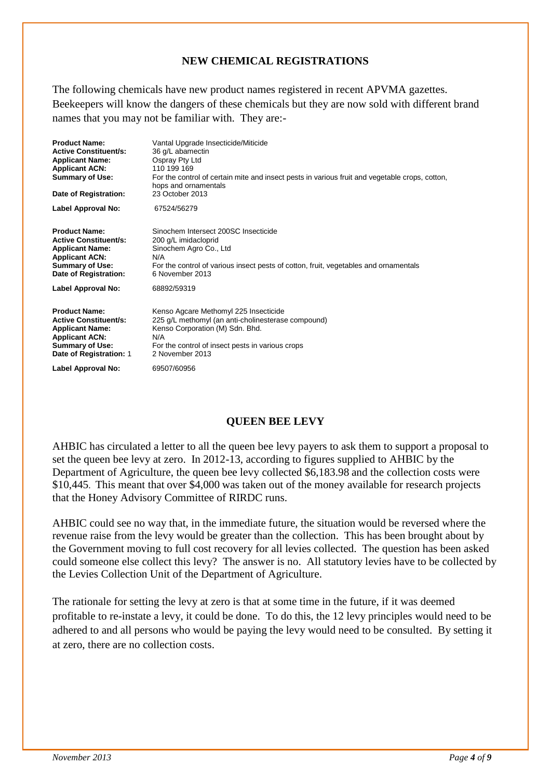#### **NEW CHEMICAL REGISTRATIONS**

The following chemicals have new product names registered in recent APVMA gazettes. Beekeepers will know the dangers of these chemicals but they are now sold with different brand names that you may not be familiar with. They are:-

| <b>Product Name:</b><br><b>Active Constituent/s:</b><br><b>Applicant Name:</b><br><b>Applicant ACN:</b><br><b>Summary of Use:</b><br>Date of Registration:   | Vantal Upgrade Insecticide/Miticide<br>36 g/L abamectin<br>Ospray Pty Ltd<br>110 199 169<br>For the control of certain mite and insect pests in various fruit and vegetable crops, cotton,<br>hops and ornamentals<br>23 October 2013 |
|--------------------------------------------------------------------------------------------------------------------------------------------------------------|---------------------------------------------------------------------------------------------------------------------------------------------------------------------------------------------------------------------------------------|
| Label Approval No:                                                                                                                                           | 67524/56279                                                                                                                                                                                                                           |
| <b>Product Name:</b><br><b>Active Constituent/s:</b><br><b>Applicant Name:</b><br><b>Applicant ACN:</b><br><b>Summary of Use:</b><br>Date of Registration:   | Sinochem Intersect 200SC Insecticide<br>200 g/L imidacloprid<br>Sinochem Agro Co., Ltd<br>N/A<br>For the control of various insect pests of cotton, fruit, vegetables and ornamentals<br>6 November 2013                              |
| Label Approval No:                                                                                                                                           | 68892/59319                                                                                                                                                                                                                           |
| <b>Product Name:</b><br><b>Active Constituent/s:</b><br><b>Applicant Name:</b><br><b>Applicant ACN:</b><br><b>Summary of Use:</b><br>Date of Registration: 1 | Kenso Agcare Methomyl 225 Insecticide<br>225 g/L methomyl (an anti-cholinesterase compound)<br>Kenso Corporation (M) Sdn. Bhd.<br>N/A<br>For the control of insect pests in various crops<br>2 November 2013                          |
| Label Approval No:                                                                                                                                           | 69507/60956                                                                                                                                                                                                                           |

#### **QUEEN BEE LEVY**

AHBIC has circulated a letter to all the queen bee levy payers to ask them to support a proposal to set the queen bee levy at zero. In 2012-13, according to figures supplied to AHBIC by the Department of Agriculture, the queen bee levy collected \$6,183.98 and the collection costs were \$10,445. This meant that over \$4,000 was taken out of the money available for research projects that the Honey Advisory Committee of RIRDC runs.

AHBIC could see no way that, in the immediate future, the situation would be reversed where the revenue raise from the levy would be greater than the collection. This has been brought about by the Government moving to full cost recovery for all levies collected. The question has been asked could someone else collect this levy? The answer is no. All statutory levies have to be collected by the Levies Collection Unit of the Department of Agriculture.

The rationale for setting the levy at zero is that at some time in the future, if it was deemed profitable to re-instate a levy, it could be done. To do this, the 12 levy principles would need to be adhered to and all persons who would be paying the levy would need to be consulted. By setting it at zero, there are no collection costs.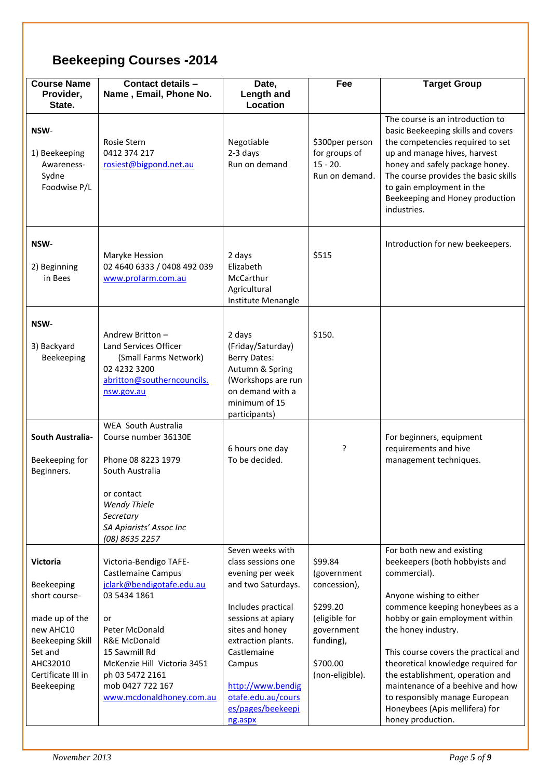### **Beekeeping Courses -2014**

| <b>Course Name</b><br>Provider,<br>State.                                                                                                                           | Contact details -<br>Name, Email, Phone No.                                                                                                                                                                                                          | Date,<br><b>Length and</b><br>Location                                                                                                                                                                                                                                    | Fee                                                                                                                           | <b>Target Group</b>                                                                                                                                                                                                                                                                                                                                                                                                                                 |
|---------------------------------------------------------------------------------------------------------------------------------------------------------------------|------------------------------------------------------------------------------------------------------------------------------------------------------------------------------------------------------------------------------------------------------|---------------------------------------------------------------------------------------------------------------------------------------------------------------------------------------------------------------------------------------------------------------------------|-------------------------------------------------------------------------------------------------------------------------------|-----------------------------------------------------------------------------------------------------------------------------------------------------------------------------------------------------------------------------------------------------------------------------------------------------------------------------------------------------------------------------------------------------------------------------------------------------|
| NSW-<br>1) Beekeeping<br>Awareness-<br>Sydne<br>Foodwise P/L                                                                                                        | Rosie Stern<br>0412 374 217<br>rosiest@bigpond.net.au                                                                                                                                                                                                | Negotiable<br>2-3 days<br>Run on demand                                                                                                                                                                                                                                   | \$300per person<br>for groups of<br>$15 - 20.$<br>Run on demand.                                                              | The course is an introduction to<br>basic Beekeeping skills and covers<br>the competencies required to set<br>up and manage hives, harvest<br>honey and safely package honey.<br>The course provides the basic skills<br>to gain employment in the<br>Beekeeping and Honey production<br>industries.                                                                                                                                                |
| NSW-<br>2) Beginning<br>in Bees                                                                                                                                     | Maryke Hession<br>02 4640 6333 / 0408 492 039<br>www.profarm.com.au                                                                                                                                                                                  | 2 days<br>Elizabeth<br>McCarthur<br>Agricultural<br>Institute Menangle                                                                                                                                                                                                    | \$515                                                                                                                         | Introduction for new beekeepers.                                                                                                                                                                                                                                                                                                                                                                                                                    |
| NSW-<br>3) Backyard<br>Beekeeping                                                                                                                                   | Andrew Britton -<br>Land Services Officer<br>(Small Farms Network)<br>02 4232 3200<br>abritton@southerncouncils.<br>nsw.gov.au                                                                                                                       | 2 days<br>(Friday/Saturday)<br><b>Berry Dates:</b><br>Autumn & Spring<br>(Workshops are run<br>on demand with a<br>minimum of 15<br>participants)                                                                                                                         | \$150.                                                                                                                        |                                                                                                                                                                                                                                                                                                                                                                                                                                                     |
| <b>South Australia-</b><br>Beekeeping for<br>Beginners.                                                                                                             | <b>WEA South Australia</b><br>Course number 36130E<br>Phone 08 8223 1979<br>South Australia<br>or contact<br><b>Wendy Thiele</b><br>Secretary<br>SA Apiarists' Assoc Inc<br>(08) 8635 2257                                                           | 6 hours one day<br>To be decided.                                                                                                                                                                                                                                         | ?                                                                                                                             | For beginners, equipment<br>requirements and hive<br>management techniques.                                                                                                                                                                                                                                                                                                                                                                         |
| <b>Victoria</b><br>Beekeeping<br>short course-<br>made up of the<br>new AHC10<br><b>Beekeeping Skill</b><br>Set and<br>AHC32010<br>Certificate III in<br>Beekeeping | Victoria-Bendigo TAFE-<br>Castlemaine Campus<br>jclark@bendigotafe.edu.au<br>03 5434 1861<br>or<br>Peter McDonald<br>R&E McDonald<br>15 Sawmill Rd<br>McKenzie Hill Victoria 3451<br>ph 03 5472 2161<br>mob 0427 722 167<br>www.mcdonaldhoney.com.au | Seven weeks with<br>class sessions one<br>evening per week<br>and two Saturdays.<br>Includes practical<br>sessions at apiary<br>sites and honey<br>extraction plants.<br>Castlemaine<br>Campus<br>http://www.bendig<br>otafe.edu.au/cours<br>es/pages/beekeepi<br>ng.aspx | \$99.84<br>(government<br>concession),<br>\$299.20<br>(eligible for<br>government<br>funding),<br>\$700.00<br>(non-eligible). | For both new and existing<br>beekeepers (both hobbyists and<br>commercial).<br>Anyone wishing to either<br>commence keeping honeybees as a<br>hobby or gain employment within<br>the honey industry.<br>This course covers the practical and<br>theoretical knowledge required for<br>the establishment, operation and<br>maintenance of a beehive and how<br>to responsibly manage European<br>Honeybees (Apis mellifera) for<br>honey production. |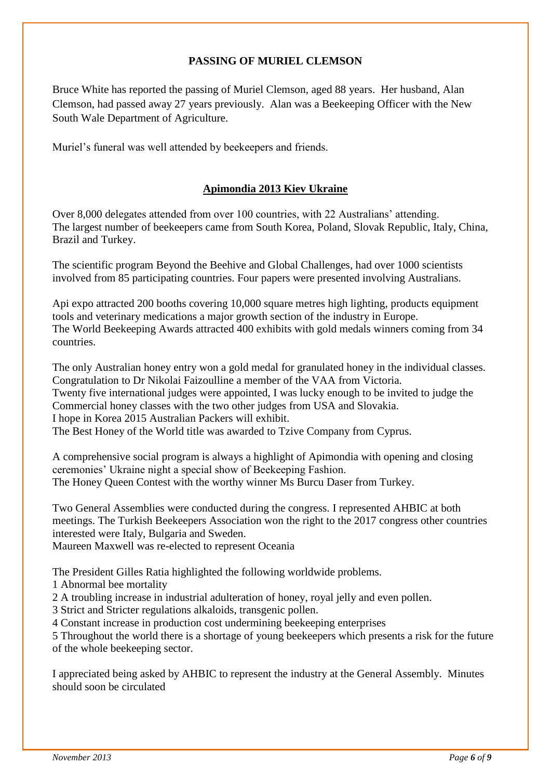#### **PASSING OF MURIEL CLEMSON**

Bruce White has reported the passing of Muriel Clemson, aged 88 years. Her husband, Alan Clemson, had passed away 27 years previously. Alan was a Beekeeping Officer with the New South Wale Department of Agriculture.

Muriel's funeral was well attended by beekeepers and friends.

#### **Apimondia 2013 Kiev Ukraine**

Over 8,000 delegates attended from over 100 countries, with 22 Australians' attending. The largest number of beekeepers came from South Korea, Poland, Slovak Republic, Italy, China, Brazil and Turkey.

The scientific program Beyond the Beehive and Global Challenges, had over 1000 scientists involved from 85 participating countries. Four papers were presented involving Australians.

Api expo attracted 200 booths covering 10,000 square metres high lighting, products equipment tools and veterinary medications a major growth section of the industry in Europe. The World Beekeeping Awards attracted 400 exhibits with gold medals winners coming from 34 countries.

The only Australian honey entry won a gold medal for granulated honey in the individual classes. Congratulation to Dr Nikolai Faizoulline a member of the VAA from Victoria. Twenty five international judges were appointed, I was lucky enough to be invited to judge the Commercial honey classes with the two other judges from USA and Slovakia. I hope in Korea 2015 Australian Packers will exhibit. The Best Honey of the World title was awarded to Tzive Company from Cyprus.

A comprehensive social program is always a highlight of Apimondia with opening and closing ceremonies' Ukraine night a special show of Beekeeping Fashion. The Honey Queen Contest with the worthy winner Ms Burcu Daser from Turkey.

Two General Assemblies were conducted during the congress. I represented AHBIC at both meetings. The Turkish Beekeepers Association won the right to the 2017 congress other countries interested were Italy, Bulgaria and Sweden.

Maureen Maxwell was re-elected to represent Oceania

The President Gilles Ratia highlighted the following worldwide problems.

1 Abnormal bee mortality

2 A troubling increase in industrial adulteration of honey, royal jelly and even pollen.

3 Strict and Stricter regulations alkaloids, transgenic pollen.

4 Constant increase in production cost undermining beekeeping enterprises

5 Throughout the world there is a shortage of young beekeepers which presents a risk for the future of the whole beekeeping sector.

I appreciated being asked by AHBIC to represent the industry at the General Assembly. Minutes should soon be circulated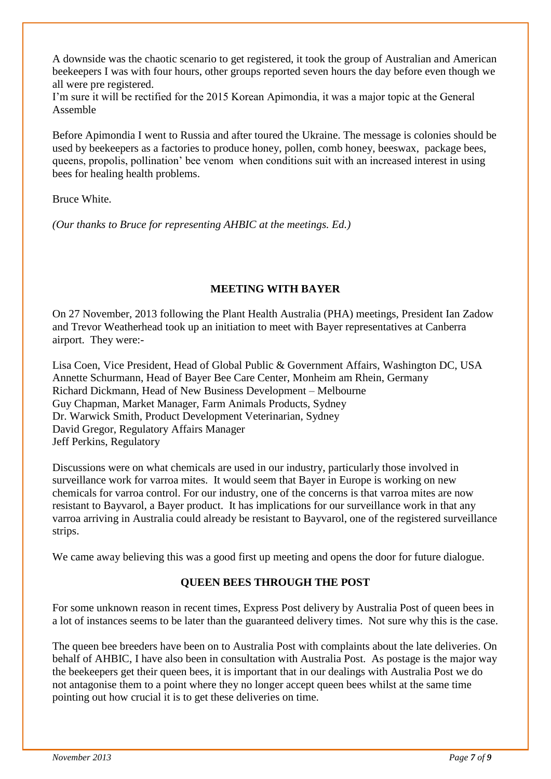A downside was the chaotic scenario to get registered, it took the group of Australian and American beekeepers I was with four hours, other groups reported seven hours the day before even though we all were pre registered.

I'm sure it will be rectified for the 2015 Korean Apimondia, it was a major topic at the General Assemble

Before Apimondia I went to Russia and after toured the Ukraine. The message is colonies should be used by beekeepers as a factories to produce honey, pollen, comb honey, beeswax, package bees, queens, propolis, pollination' bee venom when conditions suit with an increased interest in using bees for healing health problems.

#### Bruce White.

*(Our thanks to Bruce for representing AHBIC at the meetings. Ed.)*

#### **MEETING WITH BAYER**

On 27 November, 2013 following the Plant Health Australia (PHA) meetings, President Ian Zadow and Trevor Weatherhead took up an initiation to meet with Bayer representatives at Canberra airport. They were:-

Lisa Coen, Vice President, Head of Global Public & Government Affairs, Washington DC, USA Annette Schurmann, Head of Bayer Bee Care Center, Monheim am Rhein, Germany Richard Dickmann, Head of New Business Development – Melbourne Guy Chapman, Market Manager, Farm Animals Products, Sydney Dr. Warwick Smith, Product Development Veterinarian, Sydney David Gregor, Regulatory Affairs Manager Jeff Perkins, Regulatory

Discussions were on what chemicals are used in our industry, particularly those involved in surveillance work for varroa mites. It would seem that Bayer in Europe is working on new chemicals for varroa control. For our industry, one of the concerns is that varroa mites are now resistant to Bayvarol, a Bayer product. It has implications for our surveillance work in that any varroa arriving in Australia could already be resistant to Bayvarol, one of the registered surveillance strips.

We came away believing this was a good first up meeting and opens the door for future dialogue.

#### **QUEEN BEES THROUGH THE POST**

For some unknown reason in recent times, Express Post delivery by Australia Post of queen bees in a lot of instances seems to be later than the guaranteed delivery times. Not sure why this is the case.

The queen bee breeders have been on to Australia Post with complaints about the late deliveries. On behalf of AHBIC, I have also been in consultation with Australia Post. As postage is the major way the beekeepers get their queen bees, it is important that in our dealings with Australia Post we do not antagonise them to a point where they no longer accept queen bees whilst at the same time pointing out how crucial it is to get these deliveries on time.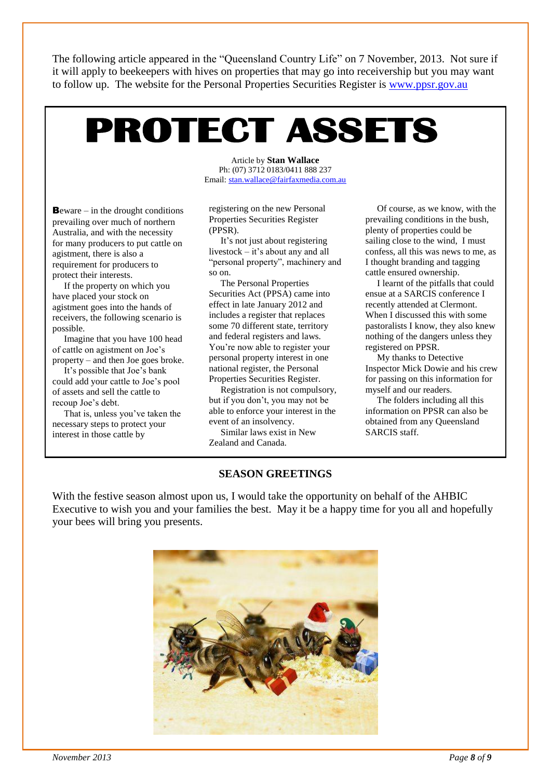The following article appeared in the "Queensland Country Life" on 7 November, 2013. Not sure if it will apply to beekeepers with hives on properties that may go into receivership but you may want to follow up. The website for the Personal Properties Securities Register is [www.ppsr.gov.au](http://www.ppsr.gov.au/)

# PROTECT ASSETS

**B**eware – in the drought conditions prevailing over much of northern Australia, and with the necessity for many producers to put cattle on agistment, there is also a requirement for producers to protect their interests.

 If the property on which you have placed your stock on agistment goes into the hands of receivers, the following scenario is possible.

 Imagine that you have 100 head of cattle on agistment on Joe's property – and then Joe goes broke.

 It's possible that Joe's bank could add your cattle to Joe's pool of assets and sell the cattle to recoup Joe's debt.

 That is, unless you've taken the necessary steps to protect your interest in those cattle by

Article by **Stan Wallace** Ph: (07) 3712 0183/0411 888 237 Email: [stan.wallace@fairfaxmedia.com.au](mailto:stan.wallace@fairfaxmedia.com.au)

registering on the new Personal Properties Securities Register (PPSR).

 It's not just about registering livestock – it's about any and all "personal property", machinery and so on.

 The Personal Properties Securities Act (PPSA) came into effect in late January 2012 and includes a register that replaces some 70 different state, territory and federal registers and laws. You're now able to register your personal property interest in one national register, the Personal Properties Securities Register.

 Registration is not compulsory, but if you don't, you may not be able to enforce your interest in the event of an insolvency.

 Similar laws exist in New Zealand and Canada.

 Of course, as we know, with the prevailing conditions in the bush, plenty of properties could be sailing close to the wind, I must confess, all this was news to me, as I thought branding and tagging cattle ensured ownership.

 I learnt of the pitfalls that could ensue at a SARCIS conference I recently attended at Clermont. When I discussed this with some pastoralists I know, they also knew nothing of the dangers unless they registered on PPSR.

 My thanks to Detective Inspector Mick Dowie and his crew for passing on this information for myself and our readers.

 The folders including all this information on PPSR can also be obtained from any Queensland SARCIS staff.

#### **SEASON GREETINGS**

With the festive season almost upon us, I would take the opportunity on behalf of the AHBIC Executive to wish you and your families the best. May it be a happy time for you all and hopefully your bees will bring you presents.